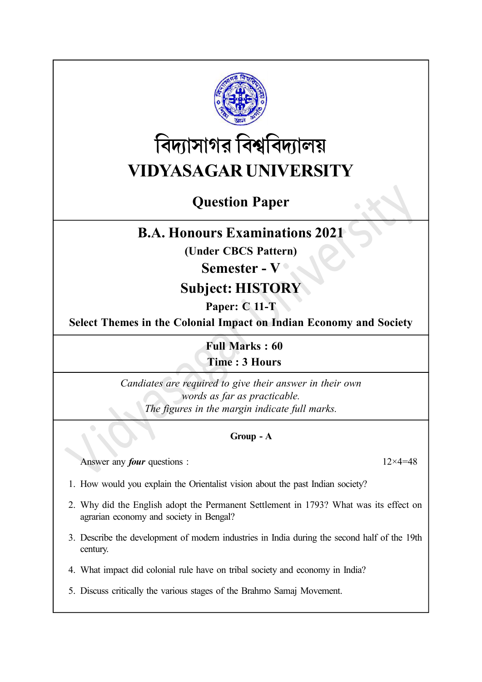

# বিদ্যাসাগর বিশ্ববিদ্যালয় VIDYASAGAR UNIVERSITY

# Question Paper

### B.A. Honours Examinations 2021

(Under CBCS Pattern)

### Semester - V

## Subject: HISTORY

### Paper: C 11-T

Select Themes in the Colonial Impact on Indian Economy and Society

Full Marks : 60 Time : 3 Hours

Candiates are required to give their answer in their own words as far as practicable. The figures in the margin indicate full marks.

#### Group - A

Answer any *four* questions :  $12 \times 4 = 48$ 

- 1. How would you explain the Orientalist vision about the past Indian society?
- 2. Why did the English adopt the Permanent Settlement in 1793? What was its effect on agrarian economy and society in Bengal?
- 3. Describe the development of modern industries in India during the second half of the 19th century.
- 4. What impact did colonial rule have on tribal society and economy in India?
- 5. Discuss critically the various stages of the Brahmo Samaj Movement.